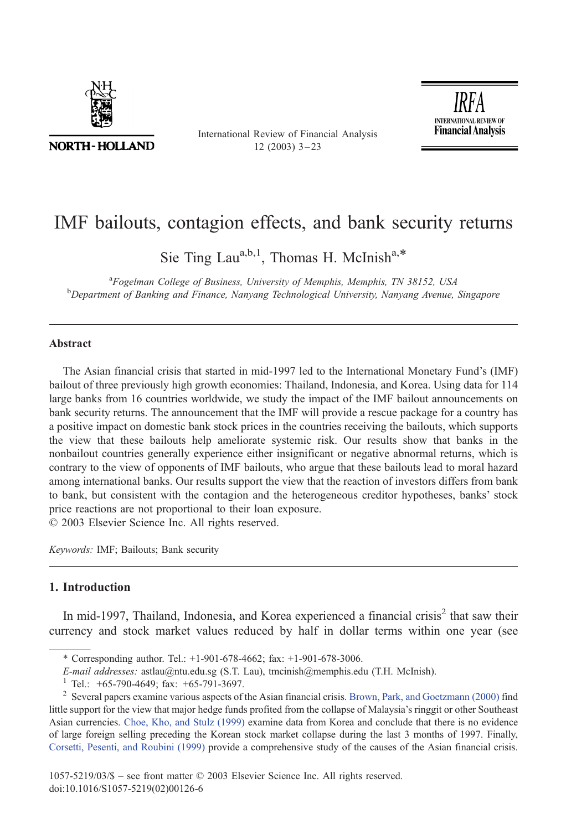

**NORTH-HOLLAND** 

International Review of Financial Analysis  $12$  (2003)  $3 - 23$ 

**INTERNATIONAL REVIEW OF Financial Analysis** 

## IMF bailouts, contagion effects, and bank security returns

Sie Ting Lau<sup>a,b,1</sup>, Thomas H. McInish<sup>a,\*</sup>

<sup>a</sup> Fogelman College of Business, University of Memphis, Memphis, TN 38152, USA<br><sup>b</sup> Department of Bapking and Finance, Nanyong Technological University Nanyong Ayanya <sup>b</sup>Department of Banking and Finance, Nanyang Technological University, Nanyang Avenue, Singapore

## Abstract

The Asian financial crisis that started in mid-1997 led to the International Monetary Fund's (IMF) bailout of three previously high growth economies: Thailand, Indonesia, and Korea. Using data for 114 large banks from 16 countries worldwide, we study the impact of the IMF bailout announcements on bank security returns. The announcement that the IMF will provide a rescue package for a country has a positive impact on domestic bank stock prices in the countries receiving the bailouts, which supports the view that these bailouts help ameliorate systemic risk. Our results show that banks in the nonbailout countries generally experience either insignificant or negative abnormal returns, which is contrary to the view of opponents of IMF bailouts, who argue that these bailouts lead to moral hazard among international banks. Our results support the view that the reaction of investors differs from bank to bank, but consistent with the contagion and the heterogeneous creditor hypotheses, banks' stock price reactions are not proportional to their loan exposure.

 $© 2003 Elsevier Science Inc. All rights reserved.$ 

Keywords: IMF; Bailouts; Bank security

## 1. Introduction

In mid-1997, Thailand, Indonesia, and Korea experienced a financial crisis<sup>2</sup> that saw their currency and stock market values reduced by half in dollar terms within one year (see

<sup>\*</sup> Corresponding author. Tel.: +1-901-678-4662; fax: +1-901-678-3006.

*E-mail addresses:* astlau@ntu.edu.sg (S.T. Lau), tmcinish@memphis.edu (T.H. McInish).<br><sup>1</sup> Tel.: +65-790-4649; fax: +65-791-3697.<br><sup>2</sup> Several papers examine various aspects of the Asian financial crisis. Brown, Park, and little support for the view that major hedge funds profited from the collapse of Malaysia's ringgit or other Southeast Asian currencies. [Choe, Kho, and Stulz \(1999\)](#page--1-0) examine data from Korea and conclude that there is no evidence of large foreign selling preceding the Korean stock market collapse during the last 3 months of 1997. Finally, [Corsetti, Pesenti, and Roubini \(1999\)](#page--1-0) provide a comprehensive study of the causes of the Asian financial crisis.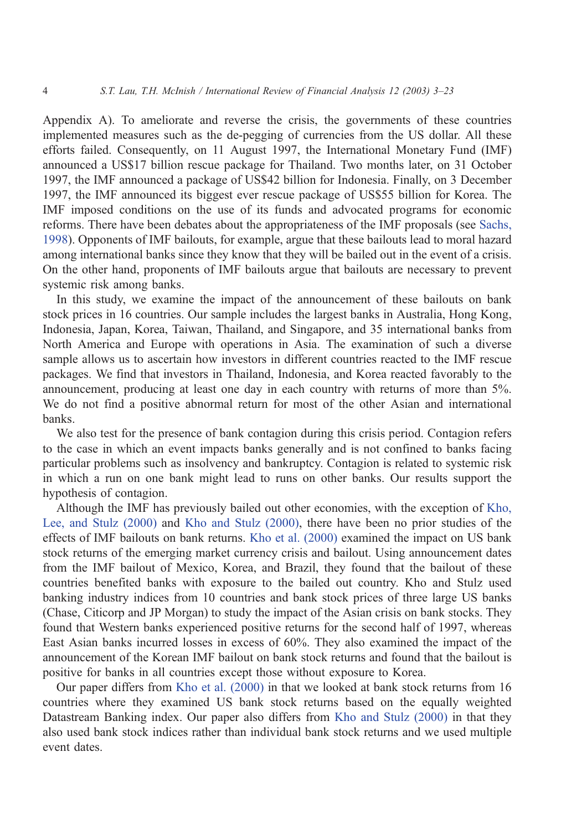Appendix A). To ameliorate and reverse the crisis, the governments of these countries implemented measures such as the de-pegging of currencies from the US dollar. All these efforts failed. Consequently, on 11 August 1997, the International Monetary Fund (IMF) announced a US\$17 billion rescue package for Thailand. Two months later, on 31 October 1997, the IMF announced a package of US\$42 billion for Indonesia. Finally, on 3 December 1997, the IMF announced its biggest ever rescue package of US\$55 billion for Korea. The IMF imposed conditions on the use of its funds and advocated programs for economic reforms. There have been debates about the appropriateness of the IMF proposals (see [Sachs,](#page--1-0) 1998). Opponents of IMF bailouts, for example, argue that these bailouts lead to moral hazard among international banks since they know that they will be bailed out in the event of a crisis. On the other hand, proponents of IMF bailouts argue that bailouts are necessary to prevent systemic risk among banks.

In this study, we examine the impact of the announcement of these bailouts on bank stock prices in 16 countries. Our sample includes the largest banks in Australia, Hong Kong, Indonesia, Japan, Korea, Taiwan, Thailand, and Singapore, and 35 international banks from North America and Europe with operations in Asia. The examination of such a diverse sample allows us to ascertain how investors in different countries reacted to the IMF rescue packages. We find that investors in Thailand, Indonesia, and Korea reacted favorably to the announcement, producing at least one day in each country with returns of more than 5%. We do not find a positive abnormal return for most of the other Asian and international banks.

We also test for the presence of bank contagion during this crisis period. Contagion refers to the case in which an event impacts banks generally and is not confined to banks facing particular problems such as insolvency and bankruptcy. Contagion is related to systemic risk in which a run on one bank might lead to runs on other banks. Our results support the hypothesis of contagion.

Although the IMF has previously bailed out other economies, with the exception of [Kho,](#page--1-0) Lee, and Stulz (2000) and [Kho and Stulz \(2000\),](#page--1-0) there have been no prior studies of the effects of IMF bailouts on bank returns. [Kho et al. \(2000\)](#page--1-0) examined the impact on US bank stock returns of the emerging market currency crisis and bailout. Using announcement dates from the IMF bailout of Mexico, Korea, and Brazil, they found that the bailout of these countries benefited banks with exposure to the bailed out country. Kho and Stulz used banking industry indices from 10 countries and bank stock prices of three large US banks (Chase, Citicorp and JP Morgan) to study the impact of the Asian crisis on bank stocks. They found that Western banks experienced positive returns for the second half of 1997, whereas East Asian banks incurred losses in excess of 60%. They also examined the impact of the announcement of the Korean IMF bailout on bank stock returns and found that the bailout is positive for banks in all countries except those without exposure to Korea.

Our paper differs from [Kho et al. \(2000\)](#page--1-0) in that we looked at bank stock returns from 16 countries where they examined US bank stock returns based on the equally weighted Datastream Banking index. Our paper also differs from [Kho and Stulz \(2000\)](#page--1-0) in that they also used bank stock indices rather than individual bank stock returns and we used multiple event dates.